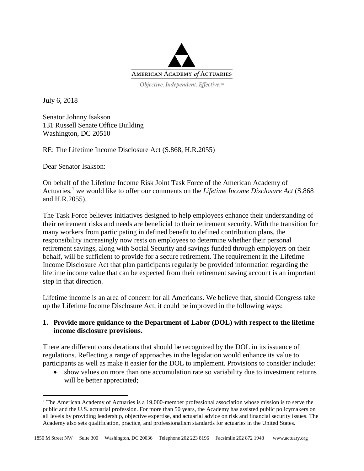

July 6, 2018

 $\overline{a}$ 

Senator Johnny Isakson 131 Russell Senate Office Building Washington, DC 20510

RE: The Lifetime Income Disclosure Act (S.868, H.R.2055)

Dear Senator Isakson:

On behalf of the Lifetime Income Risk Joint Task Force of the American Academy of Actuaries, <sup>1</sup> we would like to offer our comments on the *Lifetime Income Disclosure Act* (S.868 and H.R.2055).

The Task Force believes initiatives designed to help employees enhance their understanding of their retirement risks and needs are beneficial to their retirement security. With the transition for many workers from participating in defined benefit to defined contribution plans, the responsibility increasingly now rests on employees to determine whether their personal retirement savings, along with Social Security and savings funded through employers on their behalf, will be sufficient to provide for a secure retirement. The requirement in the Lifetime Income Disclosure Act that plan participants regularly be provided information regarding the lifetime income value that can be expected from their retirement saving account is an important step in that direction.

Lifetime income is an area of concern for all Americans. We believe that, should Congress take up the Lifetime Income Disclosure Act, it could be improved in the following ways:

## **1. Provide more guidance to the Department of Labor (DOL) with respect to the lifetime income disclosure provisions.**

There are different considerations that should be recognized by the DOL in its issuance of regulations. Reflecting a range of approaches in the legislation would enhance its value to participants as well as make it easier for the DOL to implement. Provisions to consider include:

 show values on more than one accumulation rate so variability due to investment returns will be better appreciated;

<sup>&</sup>lt;sup>1</sup> The American Academy of Actuaries is a 19,000-member professional association whose mission is to serve the public and the U.S. actuarial profession. For more than 50 years, the Academy has assisted public policymakers on all levels by providing leadership, objective expertise, and actuarial advice on risk and financial security issues. The Academy also sets qualification, practice, and professionalism standards for actuaries in the United States.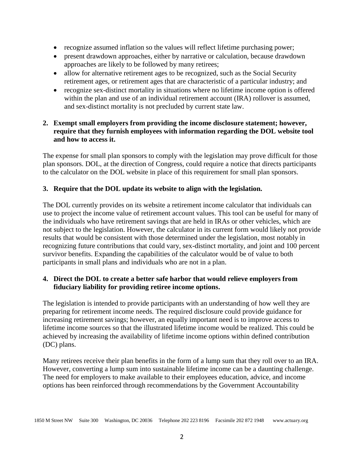- recognize assumed inflation so the values will reflect lifetime purchasing power;
- present drawdown approaches, either by narrative or calculation, because drawdown approaches are likely to be followed by many retirees;
- allow for alternative retirement ages to be recognized, such as the Social Security retirement ages, or retirement ages that are characteristic of a particular industry; and
- recognize sex-distinct mortality in situations where no lifetime income option is offered within the plan and use of an individual retirement account (IRA) rollover is assumed, and sex-distinct mortality is not precluded by current state law.

## **2. Exempt small employers from providing the income disclosure statement; however, require that they furnish employees with information regarding the DOL website tool and how to access it.**

The expense for small plan sponsors to comply with the legislation may prove difficult for those plan sponsors. DOL, at the direction of Congress, could require a notice that directs participants to the calculator on the DOL website in place of this requirement for small plan sponsors.

## **3. Require that the DOL update its website to align with the legislation.**

The DOL currently provides on its website a retirement income calculator that individuals can use to project the income value of retirement account values. This tool can be useful for many of the individuals who have retirement savings that are held in IRAs or other vehicles, which are not subject to the legislation. However, the calculator in its current form would likely not provide results that would be consistent with those determined under the legislation, most notably in recognizing future contributions that could vary, sex-distinct mortality, and joint and 100 percent survivor benefits. Expanding the capabilities of the calculator would be of value to both participants in small plans and individuals who are not in a plan.

## **4. Direct the DOL to create a better safe harbor that would relieve employers from fiduciary liability for providing retiree income options.**

The legislation is intended to provide participants with an understanding of how well they are preparing for retirement income needs. The required disclosure could provide guidance for increasing retirement savings; however, an equally important need is to improve access to lifetime income sources so that the illustrated lifetime income would be realized. This could be achieved by increasing the availability of lifetime income options within defined contribution (DC) plans.

Many retirees receive their plan benefits in the form of a lump sum that they roll over to an IRA. However, converting a lump sum into sustainable lifetime income can be a daunting challenge. The need for employers to make available to their employees education, advice, and income options has been reinforced through recommendations by the Government Accountability